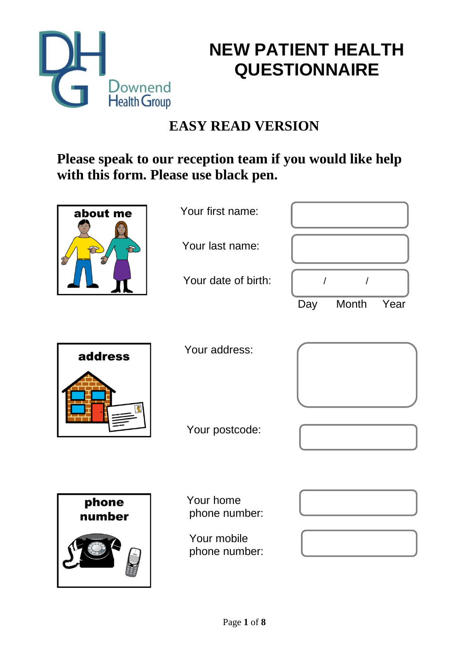



## **EASY READ VERSION**

## **Please speak to our reception team if you would like help with this form. Please use black pen.**

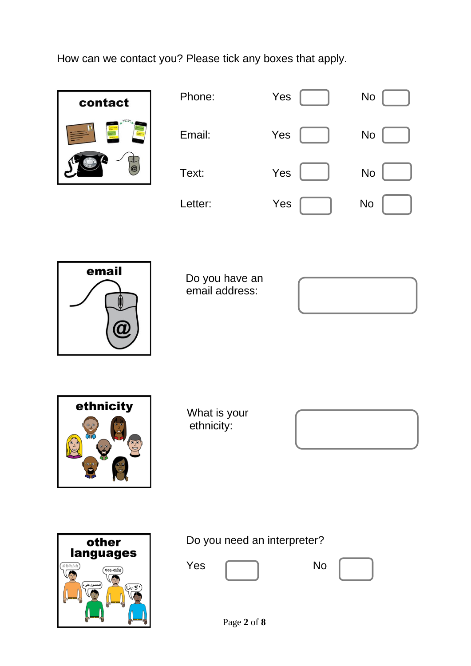How can we contact you? Please tick any boxes that apply.



| Phone:  | Yes | <b>No</b> |
|---------|-----|-----------|
| Email:  | Yes | <b>No</b> |
| Text:   | Yes | <b>No</b> |
| Letter: | Yes | <b>No</b> |



 Do you have an email address:





What is your ethnicity:





Do you need an interpreter?

Yes No

Page **2** of **8**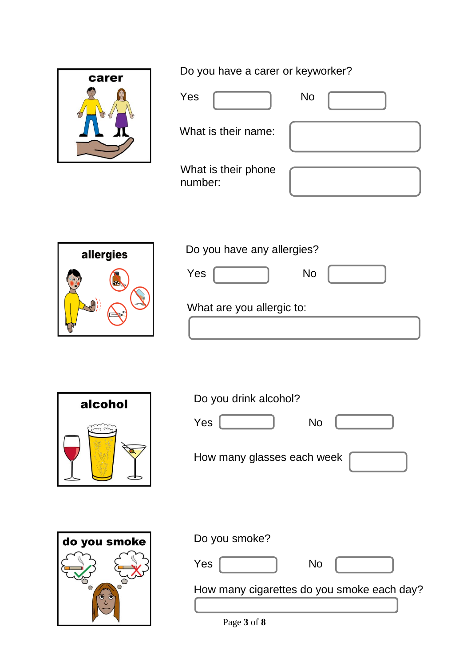

Do you have a carer or keyworker?

|           | <b>No</b><br>Yes               |
|-----------|--------------------------------|
|           | What is their name:            |
|           | What is their phone<br>number: |
|           |                                |
| allergies | Do you have any allergies?     |
| <b>MA</b> | Yes<br><b>No</b>               |



| What are you allergic to: |  |  |  |
|---------------------------|--|--|--|
|---------------------------|--|--|--|



## Do you drink alcohol?

Yes No

How many glasses each week







How many cigarettes do you smoke each day?

Page **3** of **8**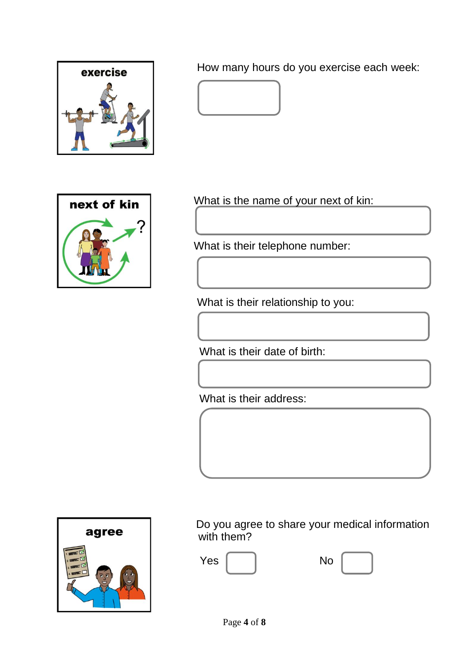

How many hours do you exercise each week:



What is the name of your next of kin:

What is their telephone number:

What is their relationship to you:

What is their date of birth:

What is their address:



 Do you agree to share your medical information with them?

| Yes | No |
|-----|----|
|     |    |

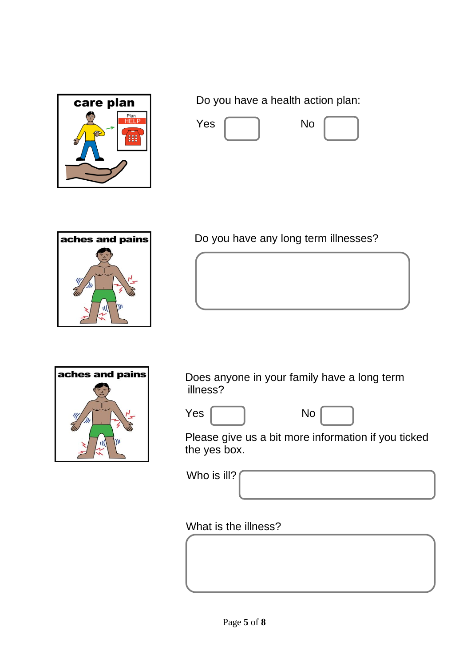

Do you have a health action plan:





Do you have any long term illnesses?



Does anyone in your family have a long term illness?



Please give us a bit more information if you ticked the yes box.

Who is ill?

What is the illness?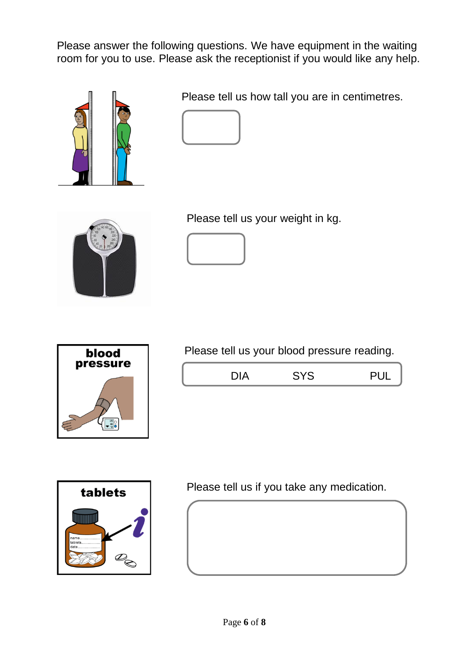Please answer the following questions. We have equipment in the waiting room for you to use. Please ask the receptionist if you would like any help.



Please tell us how tall you are in centimetres.





Please tell us your weight in kg.





Please tell us your blood pressure reading.

| $\sim$ $\sim$ | $\sim$ | יי ה |
|---------------|--------|------|
|               |        |      |



Please tell us if you take any medication.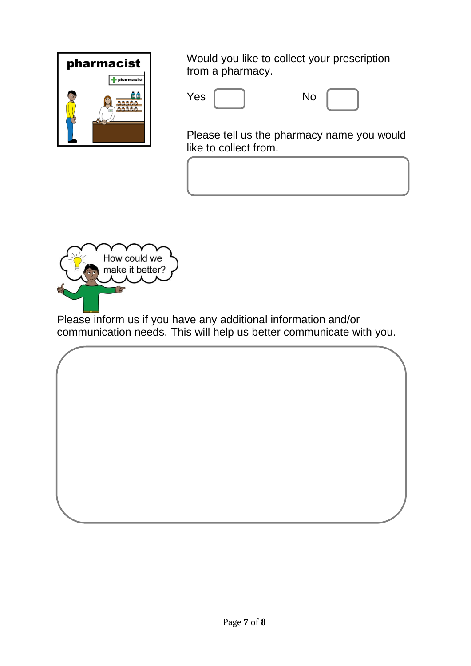

Would you like to collect your prescription from a pharmacy.

| Yes |  | <b>No</b> |
|-----|--|-----------|
|-----|--|-----------|



Please tell us the pharmacy name you would like to collect from.



Please inform us if you have any additional information and/or communication needs. This will help us better communicate with you.